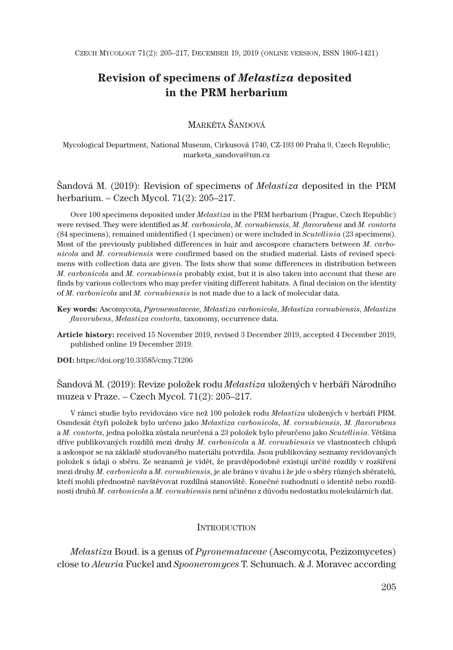# **Revision of specimens of** *Melastiza* **deposited in the PRM herbarium**

# MARKÉTA ŠANDOVÁ

Mycological Department, National Museum, Cirkusová 1740, CZ-193 00 Praha 9, Czech Republic; marketa\_sandova@nm.cz

Šandová M. (2019): Revision of specimens of *Melastiza* deposited in the PRM herbarium. – Czech Mycol. 71(2): 205–217.

Over 100 specimens deposited under *Melastiza* in the PRM herbarium (Prague, Czech Republic) were revised. They were identified as *M. carbonicola*, *M. cornubiensis*, *M. flavorubens* and *M. contorta* (84 specimens), remained unidentified (1 specimen) or were included in *Scutellinia* (23 specimens). Most of the previously published differences in hair and ascospore characters between *M. carbonicola* and *M. cornubiensis* were confirmed based on the studied material. Lists of revised specimens with collection data are given. The lists show that some differences in distribution between *M. carbonicola* and *M. cornubiensis* probably exist, but it is also taken into account that these are finds by various collectors who may prefer visiting different habitats. A final decision on the identity of *M. carbonicola* and *M. cornubiensis* is not made due to a lack of molecular data.

- **Key words:** Ascomycota, *Pyronemataceae*, *Melastiza carbonicola*, *Melastiza cornubiensis*, *Melastiza flavorubens*, *Melastiza contorta*, taxonomy, occurrence data.
- **Article history:** received 15 November 2019, revised 3 December 2019, accepted 4 December 2019, published online 19 December 2019.

**DOI:** https://doi.org/10.33585/cmy.71206

Šandová M. (2019): Revize položek rodu *Melastiza* uložených v herbáři Národního muzea v Praze. – Czech Mycol. 71(2): 205–217.

V rámci studie bylo revidováno více než 100 položek rodu *Melastiza* uložených v herbáři PRM. Osmdesát čtyři položek bylo určeno jako *Melastiza carbonicola*, *M. cornubiensis*, *M. flavorubens* a *M. contorta*, jedna položka zůstala neurčená a 23 položek bylo přeurčeno jako *Scutellinia*. Většina dříve publikovaných rozdílů mezi druhy *M. carbonicola* a *M. cornubiensis* ve vlastnostech chlupů a askospor se na základě studovaného materiálu potvrdila. Jsou publikovány seznamy revidovaných položek s údaji o sběru. Ze seznamů je vidět, že pravděpodobně existují určité rozdíly v rozšíření mezi druhy *M. carbonicola* a *M. cornubiensis*, je ale bráno v úvahu i že jde o sběry různých sběratelů, kteří mohli přednostně navštěvovat rozdílná stanoviště. Konečné rozhodnutí o identitě nebo rozdílnosti druhů *M. carbonicola* a *M. cornubiensis* není učiněno z důvodu nedostatku molekulárních dat.

### **INTRODUCTION**

*Melastiza* Boud. is a genus of *Pyronemataceae* (Ascomycota, Pezizomycetes) close to *Aleuria* Fuckel and *Spooneromyces* T. Schumach. & J. Moravec according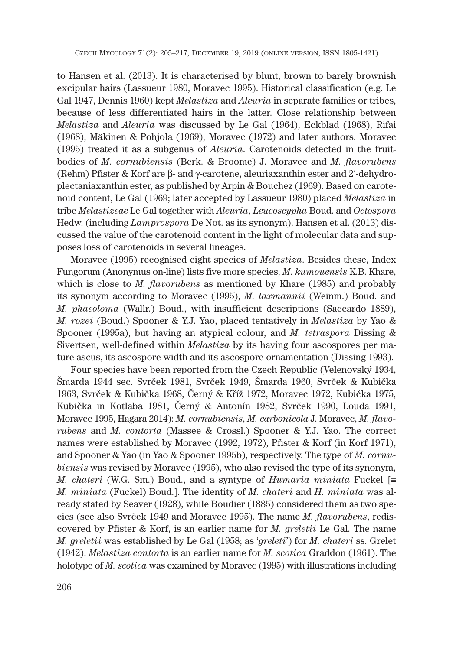to Hansen et al. (2013). It is characterised by blunt, brown to barely brownish excipular hairs (Lassueur 1980, Moravec 1995). Historical classification (e.g. Le Gal 1947, Dennis 1960) kept *Melastiza* and *Aleuria* in separate families or tribes, because of less differentiated hairs in the latter. Close relationship between *Melastiza* and *Aleuria* was discussed by Le Gal (1964), Eckblad (1968), Rifai (1968), Mäkinen & Pohjola (1969), Moravec (1972) and later authors. Moravec (1995) treated it as a subgenus of *Aleuria*. Carotenoids detected in the fruitbodies of *M. cornubiensis* (Berk. & Broome) J. Moravec and *M. flavorubens* (Rehm) Pfister & Korf are  $\beta$ - and  $\gamma$ -carotene, aleuriaxanthin ester and 2'-dehydroenus of *Aleuria*. Carotenoids detected in the fruit-<br>(Berk. & Broome) J. Moravec and *M. flavorubens*<br>- and γ-carotene, aleuriaxanthin ester and 2'-dehydroplectaniaxanthin ester, as published by Arpin & Bouchez (1969). Based on carotenoid content, Le Gal (1969; later accepted by Lassueur 1980) placed *Melastiza* in tribe *Melastizeae* Le Gal together with *Aleuria*, *Leucoscypha* Boud. and *Octospora* Hedw. (including *Lamprospora* De Not. as its synonym). Hansen et al. (2013) discussed the value of the carotenoid content in the light of molecular data and supposes loss of carotenoids in several lineages.

Moravec (1995) recognised eight species of *Melastiza*. Besides these, Index Fungorum (Anonymus on-line) lists five more species, *M. kumouensis* K.B. Khare, which is close to *M. flavorubens* as mentioned by Khare (1985) and probably its synonym according to Moravec (1995), *M. laxmannii* (Weinm.) Boud. and *M. phaeoloma* (Wallr.) Boud., with insufficient descriptions (Saccardo 1889), *M. rozei* (Boud.) Spooner & Y.J. Yao, placed tentatively in *Melastiza* by Yao & Spooner (1995a), but having an atypical colour, and *M. tetraspora* Dissing & Sivertsen, well-defined within *Melastiza* by its having four ascospores per mature ascus, its ascospore width and its ascospore ornamentation (Dissing 1993).

Four species have been reported from the Czech Republic (Velenovský 1934, Šmarda 1944 sec. Svrček 1981, Svrček 1949, Šmarda 1960, Svrček & Kubička 1963, Svrček & Kubička 1968, Černý & Kříž 1972, Moravec 1972, Kubička 1975, Kubička in Kotlaba 1981, Černý & Antonín 1982, Svrček 1990, Louda 1991, Moravec 1995, Hagara 2014): *M. cornubiensis*, *M. carbonicola* J. Moravec, *M. flavorubens* and *M. contorta* (Massee & Crossl.) Spooner & Y.J. Yao. The correct names were established by Moravec (1992, 1972), Pfister & Korf (in Korf 1971), and Spooner & Yao (in Yao & Spooner 1995b), respectively. The type of *M. cornubiensis* was revised by Moravec (1995), who also revised the type of its synonym, *M. chateri* (W.G. Sm.) Boud., and a syntype of *Humaria miniata* Fuckel [ *M. miniata* (Fuckel) Boud.]. The identity of *M. chateri* and *H. miniata* was already stated by Seaver (1928), while Boudier (1885) considered them as two species (see also Svrček 1949 and Moravec 1995). The name *M. flavorubens*, rediscovered by Pfister & Korf, is an earlier name for *M. greletii* Le Gal. The name *M. greletii* was established by Le Gal (1958; as '*greleti*') for *M. chateri* ss. Grelet (1942). *Melastiza contorta* is an earlier name for *M. scotica* Graddon (1961). The holotype of *M. scotica* was examined by Moravec (1995) with illustrations including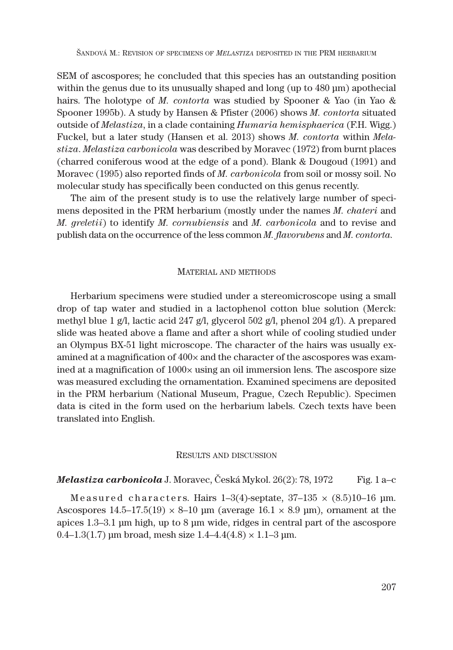SEM of ascospores; he concluded that this species has an outstanding position within the genus due to its unusually shaped and long (up to 480 μm) apothecial hairs. The holotype of *M. contorta* was studied by Spooner & Yao (in Yao & Spooner 1995b). A study by Hansen & Pfister (2006) shows *M. contorta* situated outside of *Melastiza*, in a clade containing *Humaria hemisphaerica* (F.H. Wigg.) Fuckel, but a later study (Hansen et al. 2013) shows *M. contorta* within *Melastiza*. *Melastiza carbonicola* was described by Moravec (1972) from burnt places (charred coniferous wood at the edge of a pond). Blank & Dougoud (1991) and Moravec (1995) also reported finds of *M. carbonicola* from soil or mossy soil. No molecular study has specifically been conducted on this genus recently.

The aim of the present study is to use the relatively large number of specimens deposited in the PRM herbarium (mostly under the names *M. chateri* and *M. greletii*) to identify *M. cornubiensis* and *M. carbonicola* and to revise and publish data on the occurrence of the less common *M. flavorubens* and *M. contorta*.

### MATERIAL AND METHODS

Herbarium specimens were studied under a stereomicroscope using a small drop of tap water and studied in a lactophenol cotton blue solution (Merck: methyl blue 1 g/l, lactic acid 247 g/l, glycerol 502 g/l, phenol 204 g/l). A prepared slide was heated above a flame and after a short while of cooling studied under an Olympus BX-51 light microscope. The character of the hairs was usually examined at a magnification of 400× and the character of the ascospores was examined at a magnification of  $1000\times$  using an oil immersion lens. The ascospore size was measured excluding the ornamentation. Examined specimens are deposited in the PRM herbarium (National Museum, Prague, Czech Republic). Specimen data is cited in the form used on the herbarium labels. Czech texts have been translated into English.

### RESULTS AND DISCUSSION

## *Melastiza carbonicola* J. Moravec, Česká Mykol. 26(2): 78, 1972 Fig. 1 a–c

Measured characters. Hairs 1–3(4)-septate,  $37-135 \times (8.5)10-16$  μm. Ascospores  $14.5-17.5(19) \times 8-10$  μm (average  $16.1 \times 8.9$  μm), ornament at the apices 1.3–3.1 μm high, up to 8 μm wide, ridges in central part of the ascospore 0.4–1.3(1.7) μm broad, mesh size  $1.4$ –4.4(4.8)  $\times$  1.1–3 μm.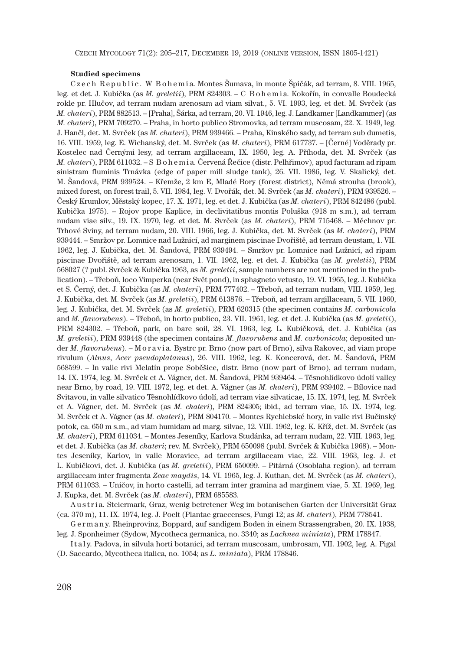CZECH MYCOLOGY 71(2): 205–217, DECEMBER 19, 2019 (ONLINE VERSION, ISSN 1805-1421)

#### **Studied specimens**

Czech Republic. W Bohemia. Montes Šumava, in monte Špičák, ad terram, 8. VIII. 1965, leg. et det. J. Kubička (as *M. greletii*), PRM 824303. – C B o h e m i a. Kokořín, in convalle Boudecká rokle pr. Hlučov, ad terram nudam arenosam ad viam silvat., 5. VI. 1993, leg. et det. M. Svrček (as *M. chateri*), PRM 882513. – [Praha], Šárka, ad terram, 20. VI. 1946, leg. J. Landkamer [Landkammer] (as *M. chateri*), PRM 709270. – Praha, in horto publico Stromovka, ad terram muscosam, 22. X. 1949, leg. J. Hančl, det. M. Svrček (as *M. chateri*), PRM 939466. – Praha, Kinského sady, ad terram sub dumetis, 16. VIII. 1959, leg. E. Wichanský, det. M. Svrček (as *M. chateri*), PRM 617737. – [Černé] Voděrady pr. Kostelec nad Černými lesy, ad terram argillaceam, IX. 1950, leg. A. Příhoda, det. M. Svrček (as *M. chateri*), PRM 611032. – S B o h e m i a. Červená Řečice (distr. Pelhřimov), apud facturam ad ripam sinistram fluminis Trnávka (edge of paper mill sludge tank), 26. VII. 1986, leg. V. Skalický, det. M. Šandová, PRM 939524. – Křemže, 2 km E, Mladé Bory (forest district), Němá strouha (brook), mixed forest, on forest trail, 5. VII. 1984, leg. V. Dvořák, det. M. Svrček (as *M. chateri*), PRM 939526. – Český Krumlov, Městský kopec, 17. X. 1971, leg. et det. J. Kubička (as *M. chateri*), PRM 842486 (publ. Kubička 1975). – Rojov prope Kaplice, in declivitatibus montis Poluška (918 m s.m.), ad terram nudam viae silv., 19. IX. 1970, leg. et det. M. Svrček (as *M. chateri*), PRM 715468. – Měchnov pr. Trhové Sviny, ad terram nudam, 20. VIII. 1966, leg. J. Kubička, det. M. Svrček (as *M. chateri*), PRM 939444. – Smržov pr. Lomnice nad Lužnicí, ad marginem piscinae Dvořiště, ad terram deustam, 1. VII. 1962, leg. J. Kubička, det. M. Šandová, PRM 939494. – Smržov pr. Lomnice nad Lužnicí, ad ripam piscinae Dvořiště, ad terram arenosam, 1. VII. 1962, leg. et det. J. Kubička (as *M. greletii*), PRM 568027 (? publ. Svrček & Kubička 1963, as *M. greletii*, sample numbers are not mentioned in the publication). – Třeboň, loco Vimperka (near Svět pond), in sphagneto vetusto, 19. VI. 1965, leg. J. Kubička et S. Černý, det. J. Kubička (as *M. chateri*), PRM 777402. – Třeboň, ad terram nudam, VIII. 1959, leg. J. Kubička, det. M. Svrček (as *M. greletii*), PRM 613876. – Třeboň, ad terram argillaceam, 5. VII. 1960, leg. J. Kubička, det. M. Svrček (as *M. greletii*), PRM 620315 (the specimen contains *M. carbonicola* and *M. flavorubens*). – Třeboň, in horto publico, 23. VII. 1961, leg. et det. J. Kubička (as *M. greletii*), PRM 824302. – Třeboň, park, on bare soil, 28. VI. 1963, leg. L. Kubičková, det. J. Kubička (as *M. greletii*), PRM 939448 (the specimen contains *M. flavorubens* and *M. carbonicola*; deposited under *M. flavorubens*). – M o r a v i a. Bystrc pr. Brno (now part of Brno), silva Rakovec, ad viam prope rivulum (*Alnus*, *Acer pseudoplatanus*), 26. VIII. 1962, leg. K. Koncerová, det. M. Šandová, PRM 568599. – In valle rivi Melatín prope Soběšice, distr. Brno (now part of Brno), ad terram nudam, 14. IX. 1974, leg. M. Svrček et A. Vágner, det. M. Šandová, PRM 939464. – Těsnohlídkovo údolí valley near Brno, by road, 19. VIII. 1972, leg. et det. A. Vágner (as *M. chateri*), PRM 939402. – Bílovice nad Svitavou, in valle silvatico Těsnohlídkovo údolí, ad terram viae silvaticae, 15. IX. 1974, leg. M. Svrček et A. Vágner, det. M. Svrček (as *M. chateri*), PRM 824305; ibid., ad terram viae, 15. IX. 1974, leg. M. Svrček et A. Vágner (as *M. chateri*), PRM 804170. – Montes Rychlebské hory, in valle rivi Bučinský potok, ca. 650 m s.m., ad viam humidam ad marg. silvae, 12. VIII. 1962, leg. K. Kříž, det. M. Svrček (as *M. chateri*), PRM 611034. – Montes Jeseníky, Karlova Studánka, ad terram nudam, 22. VIII. 1963, leg. et det. J. Kubička (as *M. chateri*; rev. M. Svrček), PRM 650098 (publ. Svrček & Kubička 1968). – Montes Jeseníky, Karlov, in valle Moravice, ad terram argillaceam viae, 22. VIII. 1963, leg. J. et L. Kubičkovi, det. J. Kubička (as *M. greletii*), PRM 650099. – Pitárná (Osoblaha region), ad terram argillaceam inter fragmenta *Zeae maydis*, 14. VI. 1965, leg. J. Kuthan, det. M. Svrček (as *M. chateri*), PRM 611033. – Uničov, in horto castelli, ad terram inter gramina ad marginem viae, 5. XI. 1969, leg. J. Kupka, det. M. Svrček (as *M. chateri*), PRM 685583.

Austria. Steiermark, Graz, wenig betretener Weg im botanischen Garten der Universität Graz (ca. 370 m), 11. IX. 1974, leg. J. Poelt (Plantae graecenses, Fungi 12; as *M. chateri*), PRM 778541.

G e r m a n y. Rheinprovinz, Boppard, auf sandigem Boden in einem Strassengraben, 20. IX. 1938, leg. J. Sponheimer (Sydow, Mycotheca germanica, no. 3340; as *Lachnea miniata*), PRM 178847.

Italy. Padova, in silvula horti botanici, ad terram muscosam, umbrosam, VII. 1902, leg. A. Pigal (D. Saccardo, Mycotheca italica, no. 1054; as *L. miniata*), PRM 178846.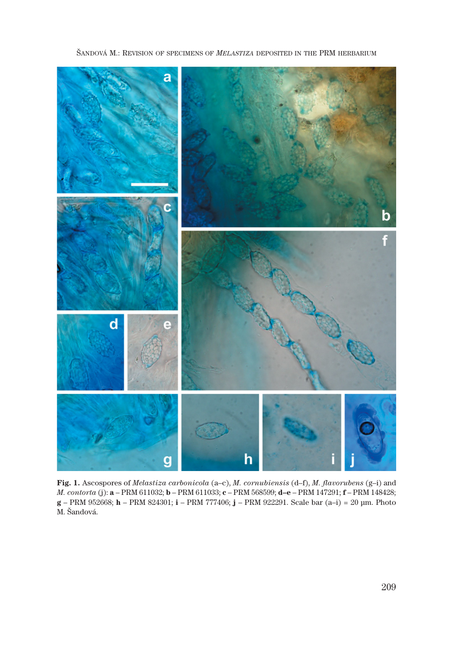

ŠANDOVÁ M.: REVISION OF SPECIMENS OF *MELASTIZA* DEPOSITED IN THE PRM HERBARIUM

**Fig. 1.** Ascospores of *Melastiza carbonicola* (a–c), *M. cornubiensis* (d–f), *M. flavorubens* (g–i) and *M. contorta* (j): **a** – PRM 611032; **b** – PRM 611033; **c** – PRM 568599; **d–e** – PRM 147291; **f** – PRM 148428; **g** – PRM 952668; **h** – PRM 824301; **i** – PRM 777406; **j** – PRM 922291. Scale bar (a–i) = 20 μm. Photo M. Šandová.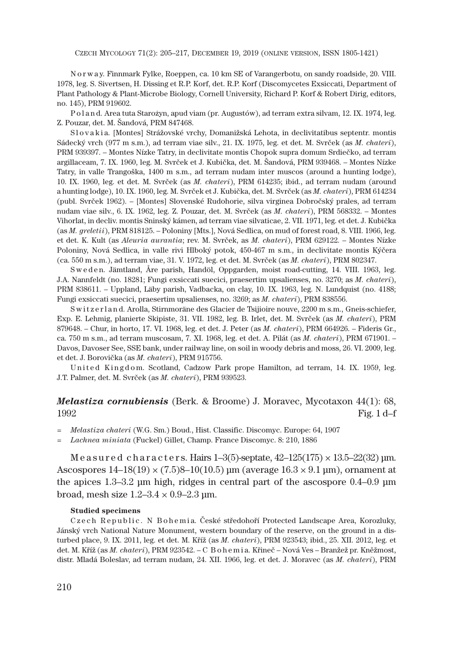CZECH MYCOLOGY 71(2): 205–217, DECEMBER 19, 2019 (ONLINE VERSION, ISSN 1805-1421)

N o r w a y. Finnmark Fylke, Roeppen, ca. 10 km SE of Varangerbotu, on sandy roadside, 20. VIII. 1978, leg. S. Sivertsen, H. Dissing et R.P. Korf, det. R.P. Korf (Discomycetes Exsiccati, Department of Plant Pathology & Plant-Microbe Biology, Cornell University, Richard P. Korf & Robert Dirig, editors, no. 145), PRM 919602.

P o l a n d. Area tuta Starożyn, apud viam (pr. Augustów), ad terram extra silvam, 12. IX. 1974, leg. Z. Pouzar, det. M. Šandová, PRM 847468.

Slovakia. [Montes] Strážovské vrchy, Domanižská Lehota, in declivitatibus septentr. montis Sádecký vrch (977 m s.m.), ad terram viae silv., 21. IX. 1975, leg. et det. M. Svrček (as *M. chateri*), PRM 939397. – Montes Nízke Tatry, in declivitate montis Chopok supra domum Srdiečko, ad terram argillaceam, 7. IX. 1960, leg. M. Svrček et J. Kubička, det. M. Šandová, PRM 939468. – Montes Nízke Tatry, in valle Trangoška, 1400 m s.m., ad terram nudam inter muscos (around a hunting lodge), 10. IX. 1960, leg. et det. M. Svrček (as *M. chateri*), PRM 614235; ibid., ad terram nudam (around a hunting lodge), 10. IX. 1960, leg. M. Svrček et J. Kubička, det. M. Svrček (as *M. chateri*), PRM 614234 (publ. Svrček 1962). – [Montes] Slovenské Rudohorie, silva virginea Dobročský prales, ad terram nudam viae silv., 6. IX. 1962, leg. Z. Pouzar, det. M. Svrček (as *M. chateri*), PRM 568332. – Montes Vihorlat, in decliv. montis Sninský kámen, ad terram viae silvaticae, 2. VII. 1971, leg. et det. J. Kubička (as *M. greletii*), PRM 818125. – Poloniny [Mts.], Nová Sedlica, on mud of forest road, 8. VIII. 1966, leg. et det. K. Kult (as *Aleuria aurantia*; rev. M. Svrček, as *M. chateri*), PRM 629122. – Montes Nízke Poloniny, Nová Sedlica, in valle rivi Hlboký potok, 450-467 m s.m., in declivitate montis Kýčera (ca. 550 m s.m.), ad terram viae, 31. V. 1972, leg. et det. M. Svrček (as *M. chateri*), PRM 802347.

Sweden. Jämtland, Åre parish, Handöl, Oppgarden, moist road-cutting, 14. VIII. 1963, leg. J.A. Nannfeldt (no. 18281; Fungi exsiccati suecici, praesertim upsalienses, no. 3270; as *M. chateri*), PRM 838611. – Uppland, Läby parish, Vadbacka, on clay, 10. IX. 1963, leg. N. Lundquist (no. 4188; Fungi exsiccati suecici, praesertim upsalienses, no. 3269; as *M. chateri*), PRM 838556.

S w it z e r l a n d. Arolla, Stirnmoräne des Glacier de Tsijioire nouve, 2200 m s.m., Gneis-schiefer, Exp. E. Lehmig, planierte Skipiste, 31. VII. 1982, leg. B. Irlet, det. M. Svrček (as *M. chateri*), PRM 879648. – Chur, in horto, 17. VI. 1968, leg. et det. J. Peter (as *M. chateri*), PRM 664926. – Fideris Gr., ca. 750 m s.m., ad terram muscosam, 7. XI. 1968, leg. et det. A. Pilát (as *M. chateri*), PRM 671901. – Davos, Davoser See, SSE bank, under railway line, on soil in woody debris and moss, 26. VI. 2009, leg. et det. J. Borovička (as *M. chateri*), PRM 915756.

United Kingdom. Scotland, Cadzow Park prope Hamilton, ad terram, 14. IX. 1959, leg. J.T. Palmer, det. M. Svrček (as *M. chateri*), PRM 939523.

## *Melastiza cornubiensis* (Berk. & Broome) J. Moravec, Mycotaxon 44(1): 68,  $1992$  Fig. 1 d–f

= *Melastiza chateri* (W.G. Sm.) Boud., Hist. Classific. Discomyc. Europe: 64, 1907

= *Lachnea miniata* (Fuckel) Gillet, Champ. France Discomyc. 8: 210, 1886

M e a s u r e d c h a r a c t e r s. Hairs  $1\text{-}3(5)$ -septate,  $42\text{-}125(175) \times 13.5\text{-}22(32)$  µm. Ascospores  $14-18(19) \times (7.5)8-10(10.5)$  μm (average  $16.3 \times 9.1$  μm), ornament at the apices 1.3–3.2 μm high, ridges in central part of the ascospore 0.4–0.9 μm broad, mesh size  $1.2 - 3.4 \times 0.9 - 2.3$  µm.

#### **Studied specimens**

Czech Republic. N Bohemia. České středohoří Protected Landscape Area, Korozluky, Jánský vrch National Nature Monument, western boundary of the reserve, on the ground in a disturbed place, 9. IX. 2011, leg. et det. M. Kříž (as *M. chateri*), PRM 923543; ibid., 25. XII. 2012, leg. et det. M. Kříž (as *M. chateri*), PRM 923542. – C B o h e m i a. Křineč – Nová Ves – Branžež pr. Kněžmost, distr. Mladá Boleslav, ad terram nudam, 24. XII. 1966, leg. et det. J. Moravec (as *M. chateri*), PRM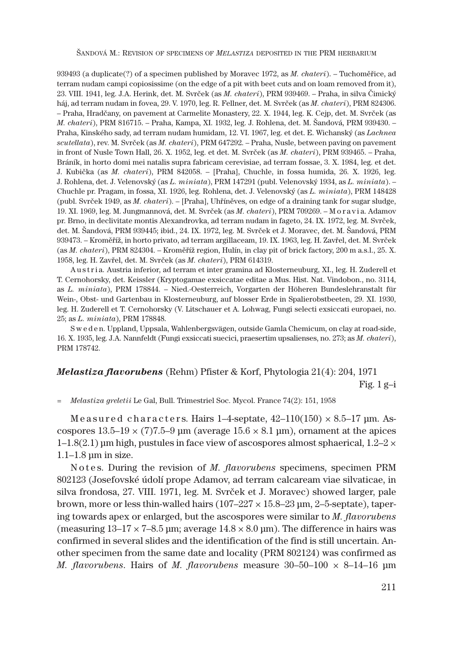ŠANDOVÁ M.: REVISION OF SPECIMENS OF *MELASTIZA* DEPOSITED IN THE PRM HERBARIUM

939493 (a duplicate(?) of a specimen published by Moravec 1972, as *M. chateri*). – Tuchoměřice, ad terram nudam campi copiosissime (on the edge of a pit with beet cuts and on loam removed from it), 23. VIII. 1941, leg. J.A. Herink, det. M. Svrček (as *M. chateri*), PRM 939469. – Praha, in silva Čimický háj, ad terram nudam in fovea, 29. V. 1970, leg. R. Fellner, det. M. Svrček (as *M. chateri*), PRM 824306. – Praha, Hradčany, on pavement at Carmelite Monastery, 22. X. 1944, leg. K. Cejp, det. M. Svrček (as *M. chateri*), PRM 816715. – Praha, Kampa, XI. 1932, leg. J. Rohlena, det. M. Šandová, PRM 939430. – Praha, Kinského sady, ad terram nudam humidam, 12. VI. 1967, leg. et det. E. Wichanský (as *Lachnea scutellata*), rev. M. Svrček (as *M. chateri*), PRM 647292. – Praha, Nusle, between paving on pavement in front of Nusle Town Hall, 26. X. 1952, leg. et det. M. Svrček (as *M. chateri*), PRM 939465. – Praha, Bráník, in horto domi mei natalis supra fabricam cerevisiae, ad terram fossae, 3. X. 1984, leg. et det. J. Kubička (as *M. chateri*), PRM 842058. – [Praha], Chuchle, in fossa humida, 26. X. 1926, leg. J. Rohlena, det. J. Velenovský (as *L. miniata*), PRM 147291 (publ. Velenovský 1934, as *L. miniata*). – Chuchle pr. Pragam, in fossa, XI. 1926, leg. Rohlena, det. J. Velenovský (as *L. miniata*), PRM 148428 (publ. Svrček 1949, as *M. chateri*). – [Praha], Uhříněves, on edge of a draining tank for sugar sludge, 19. XI. 1969, leg. M. Jungmannová, det. M. Svrček (as *M. chateri*), PRM 709269. – M o r a v i a. Adamov pr. Brno, in declivitate montis Alexandrovka, ad terram nudam in fageto, 24. IX. 1972, leg. M. Svrček, det. M. Šandová, PRM 939445; ibid., 24. IX. 1972, leg. M. Svrček et J. Moravec, det. M. Šandová, PRM 939473. – Kroměříž, in horto privato, ad terram argillaceam, 19. IX. 1963, leg. H. Zavřel, det. M. Svrček (as *M. chateri*), PRM 824304. – Kroměříž region, Hulín, in clay pit of brick factory, 200 m a.s.l., 25. X. 1958, leg. H. Zavřel, det. M. Svrček (as *M. chateri*), PRM 614319.

A u s t r i a. Austria inferior, ad terram et inter gramina ad Klosterneuburg, XI., leg. H. Zuderell et T. Cernohorsky, det. Keissler (Kryptogamae exsiccatae editae a Mus. Hist. Nat. Vindobon., no. 3114, as *L. miniata*), PRM 178844. – Nied.-Oesterreich, Vorgarten der Höheren Bundeslehranstalt für Wein-, Obst- und Gartenbau in Klosterneuburg, auf blosser Erde in Spalierobstbeeten, 29. XI. 1930, leg. H. Zuderell et T. Cernohorsky (V. Litschauer et A. Lohwag, Fungi selecti exsiccati europaei, no. 25; as *L. miniata*), PRM 178848.

S w e d e n. Uppland, Uppsala, Wahlenbergsvägen, outside Gamla Chemicum, on clay at road-side, 16. X. 1935, leg. J.A. Nannfeldt (Fungi exsiccati suecici, praesertim upsalienses, no. 273; as *M. chateri*), PRM 178742.

## *Melastiza flavorubens* (Rehm) Pfister & Korf, Phytologia 21(4): 204, 1971 Fig.  $1$  g $-i$

= *Melastiza greletii* Le Gal, Bull. Trimestriel Soc. Mycol. France 74(2): 151, 1958

Measured characters. Hairs 1-4-septate,  $42-110(150) \times 8.5-17$  µm. Ascospores  $13.5-19 \times (7)7.5-9$  μm (average  $15.6 \times 8.1$  μm), ornament at the apices  $1-1.8(2.1)$  μm high, pustules in face view of ascospores almost sphaerical,  $1.2-2 \times$  $1.1-1.8$  μm in size.

N otes. During the revision of *M. flavorubens* specimens, specimen PRM 802123 (Josefovské údolí prope Adamov, ad terram calcaream viae silvaticae, in silva frondosa, 27. VIII. 1971, leg. M. Svrček et J. Moravec) showed larger, pale brown, more or less thin-walled hairs  $(107-227 \times 15.8-23 \,\mu m, 2-5\text{-septate})$ , tapering towards apex or enlarged, but the ascospores were similar to *M. flavorubens* (measuring  $13-17 \times 7-8.5$  µm; average  $14.8 \times 8.0$  µm). The difference in hairs was confirmed in several slides and the identification of the find is still uncertain. Another specimen from the same date and locality (PRM 802124) was confirmed as *M. flavorubens*. Hairs of *M. flavorubens* measure 30–50–100 × 8–14–16 μm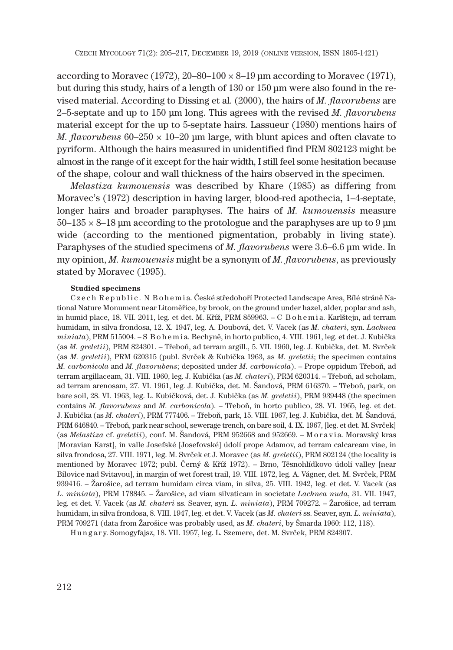according to Moravec (1972),  $20-80-100 \times 8-19$  μm according to Moravec (1971), but during this study, hairs of a length of 130 or 150 μm were also found in the revised material. According to Dissing et al. (2000), the hairs of *M. flavorubens* are 2–5-septate and up to 150 μm long. This agrees with the revised *M. flavorubens* material except for the up to 5-septate hairs. Lassueur (1980) mentions hairs of *M. flavorubens*  $60-250 \times 10-20$  µm large, with blunt apices and often clavate to pyriform. Although the hairs measured in unidentified find PRM 802123 might be almost in the range of it except for the hair width, I still feel some hesitation because of the shape, colour and wall thickness of the hairs observed in the specimen.

*Melastiza kumouensis* was described by Khare (1985) as differing from Moravec's (1972) description in having larger, blood-red apothecia, 1–4-septate, longer hairs and broader paraphyses. The hairs of *M. kumouensis* measure  $50-135 \times 8-18$  μm according to the protologue and the paraphyses are up to 9 μm wide (according to the mentioned pigmentation, probably in living state). Paraphyses of the studied specimens of *M. flavorubens* were 3.6–6.6 μm wide. In my opinion, *M. kumouensis* might be a synonym of *M. flavorubens*, as previously stated by Moravec (1995).

### **Studied specimens**

C z e c h R e p u b l i c . N B o h e m i a. České středohoří Protected Landscape Area, Bílé stráně National Nature Monument near Litoměřice, by brook, on the ground under hazel, alder, poplar and ash, in humid place, 18. VII. 2011, leg. et det. M. Kříž, PRM 859963. – C B o h e m i a. Karlštejn, ad terram humidam, in silva frondosa, 12. X. 1947, leg. A. Doubová, det. V. Vacek (as *M. chateri*, syn. *Lachnea miniata*), PRM 515004. – S B o h e m i a. Bechyně, in horto publico, 4. VIII. 1961, leg. et det. J. Kubička (as *M. greletii*), PRM 824301. – Třeboň, ad terram argill., 5. VII. 1960, leg. J. Kubička, det. M. Svrček (as *M. greletii*), PRM 620315 (publ. Svrček & Kubička 1963, as *M. greletii*; the specimen contains *M. carbonicola* and *M. flavorubens*; deposited under *M. carbonicola*). – Prope oppidum Třeboň, ad terram argillaceam, 31. VIII. 1960, leg. J. Kubička (as *M. chateri*), PRM 620314. – Třeboň, ad scholam, ad terram arenosam, 27. VI. 1961, leg. J. Kubička, det. M. Šandová, PRM 616370. – Třeboň, park, on bare soil, 28. VI. 1963, leg. L. Kubičková, det. J. Kubička (as *M. greletii*), PRM 939448 (the specimen contains *M. flavorubens* and *M. carbonicola*). – Třeboň, in horto publico, 28. VI. 1965, leg. et det. J. Kubička (as *M. chateri*), PRM 777406. – Třeboň, park, 15. VIII. 1967, leg. J. Kubička, det. M. Šandová, PRM 646840. – Třeboň, park near school, sewerage trench, on bare soil, 4. IX. 1967, [leg. et det. M. Svrček] (as *Melastiza* cf. *greletii*), conf. M. Šandová, PRM 952668 and 952669. – M o r a v i a. Moravský kras [Moravian Karst], in valle Josefské [Josefovské] údolí prope Adamov, ad terram calcaream viae, in silva frondosa, 27. VIII. 1971, leg. M. Svrček et J. Moravec (as *M. greletii*), PRM 802124 (the locality is mentioned by Moravec 1972; publ. Černý & Kříž 1972). – Brno, Těsnohlídkovo údolí valley [near Bílovice nad Svitavou], in margin of wet forest trail, 19. VIII. 1972, leg. A. Vágner, det. M. Svrček, PRM 939416. – Žarošice, ad terram humidam circa viam, in silva, 25. VIII. 1942, leg. et det. V. Vacek (as *L. miniata*), PRM 178845. – Žarošice, ad viam silvaticam in societate *Lachnea nuda*, 31. VII. 1947, leg. et det. V. Vacek (as *M. chateri* ss. Seaver, syn. *L. miniata*), PRM 709272. – Žarošice, ad terram humidam, in silva frondosa, 8. VIII. 1947, leg. et det. V. Vacek (as *M. chateri* ss. Seaver, syn. *L. miniata*), PRM 709271 (data from Žarošice was probably used, as *M. chateri*, by Šmarda 1960: 112, 118).

H u n g a r y. Somogyfajsz, 18. VII. 1957, leg. L. Szemere, det. M. Svrček, PRM 824307.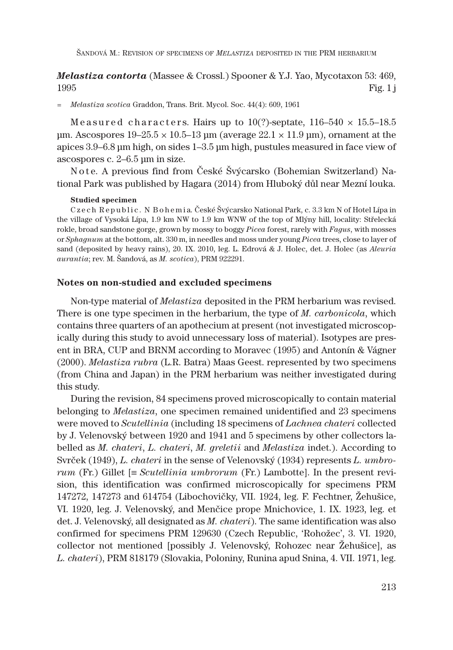## *Melastiza contorta* (Massee & Crossl.) Spooner & Y.J. Yao, Mycotaxon 53: 469,  $1995$  Fig. 1 j

= *Melastiza scotica* Graddon, Trans. Brit. Mycol. Soc. 44(4): 609, 1961

Measured characters. Hairs up to  $10$ (?)-septate,  $116-540 \times 15.5-18.5$ μm. Ascospores  $19-25.5 \times 10.5-13$  μm (average  $22.1 \times 11.9$  μm), ornament at the apices 3.9–6.8 μm high, on sides 1–3.5 μm high, pustules measured in face view of ascospores c. 2–6.5 μm in size.

N o t e. A previous find from České Švýcarsko (Bohemian Switzerland) National Park was published by Hagara (2014) from Hluboký důl near Mezní louka.

### **Studied specimen**

Czech Republic. N Bohemia. České Švýcarsko National Park, c. 3.3 km N of Hotel Lípa in the village of Vysoká Lípa, 1.9 km NW to 1.9 km WNW of the top of Mlýny hill, locality: Střelecká rokle, broad sandstone gorge, grown by mossy to boggy *Picea* forest, rarely with *Fagus*, with mosses or *Sphagnum* at the bottom, alt. 330 m, in needles and moss under young *Picea* trees, close to layer of sand (deposited by heavy rains), 20. IX. 2010, leg. L. Edrová & J. Holec, det. J. Holec (as *Aleuria aurantia*; rev. M. Šandová, as *M. scotica*), PRM 922291.

### **Notes on non-studied and excluded specimens**

Non-type material of *Melastiza* deposited in the PRM herbarium was revised. There is one type specimen in the herbarium, the type of *M. carbonicola*, which contains three quarters of an apothecium at present (not investigated microscopically during this study to avoid unnecessary loss of material). Isotypes are present in BRA, CUP and BRNM according to Moravec (1995) and Antonín & Vágner (2000). *Melastiza rubra* (L.R. Batra) Maas Geest. represented by two specimens (from China and Japan) in the PRM herbarium was neither investigated during this study.

During the revision, 84 specimens proved microscopically to contain material belonging to *Melastiza*, one specimen remained unidentified and 23 specimens were moved to *Scutellinia* (including 18 specimens of *Lachnea chateri* collected by J. Velenovský between 1920 and 1941 and 5 specimens by other collectors labelled as *M. chateri*, *L. chateri*, *M. greletii* and *Melastiza* indet.). According to Svrček (1949), *L. chateri* in the sense of Velenovský (1934) represents *L. umbrorum* (Fr.) Gillet  $\equiv$  *Scutellinia umbrorum* (Fr.) Lambotte]. In the present revision, this identification was confirmed microscopically for specimens PRM 147272, 147273 and 614754 (Libochovičky, VII. 1924, leg. F. Fechtner, Žehušice, VI. 1920, leg. J. Velenovský, and Menčice prope Mnichovice, 1. IX. 1923, leg. et det. J. Velenovský, all designated as *M. chateri*). The same identification was also confirmed for specimens PRM 129630 (Czech Republic, 'Rohožec', 3. VI. 1920, collector not mentioned [possibly J. Velenovský, Rohozec near Žehušice], as *L. chateri*), PRM 818179 (Slovakia, Poloniny, Runina apud Snina, 4. VII. 1971, leg.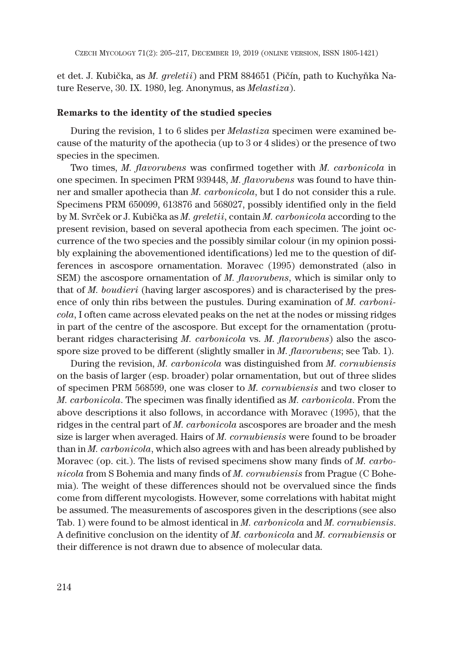et det. J. Kubička, as *M. greletii*) and PRM 884651 (Pičín, path to Kuchyňka Nature Reserve, 30. IX. 1980, leg. Anonymus, as *Melastiza*).

### **Remarks to the identity of the studied species**

During the revision, 1 to 6 slides per *Melastiza* specimen were examined because of the maturity of the apothecia (up to 3 or 4 slides) or the presence of two species in the specimen.

Two times, *M. flavorubens* was confirmed together with *M. carbonicola* in one specimen. In specimen PRM 939448, *M. flavorubens* was found to have thinner and smaller apothecia than *M. carbonicola*, but I do not consider this a rule. Specimens PRM 650099, 613876 and 568027, possibly identified only in the field by M. Svrček or J. Kubička as *M. greletii*, contain *M. carbonicola* according to the present revision, based on several apothecia from each specimen. The joint occurrence of the two species and the possibly similar colour (in my opinion possibly explaining the abovementioned identifications) led me to the question of differences in ascospore ornamentation. Moravec (1995) demonstrated (also in SEM) the ascospore ornamentation of *M. flavorubens*, which is similar only to that of *M. boudieri* (having larger ascospores) and is characterised by the presence of only thin ribs between the pustules. During examination of *M. carbonicola*, I often came across elevated peaks on the net at the nodes or missing ridges in part of the centre of the ascospore. But except for the ornamentation (protuberant ridges characterising *M. carbonicola* vs. *M. flavorubens*) also the ascospore size proved to be different (slightly smaller in *M. flavorubens*; see Tab. 1).

During the revision, *M. carbonicola* was distinguished from *M. cornubiensis* on the basis of larger (esp. broader) polar ornamentation, but out of three slides of specimen PRM 568599, one was closer to *M. cornubiensis* and two closer to *M. carbonicola*. The specimen was finally identified as *M. carbonicola*. From the above descriptions it also follows, in accordance with Moravec (1995), that the ridges in the central part of *M. carbonicola* ascospores are broader and the mesh size is larger when averaged. Hairs of *M. cornubiensis* were found to be broader than in *M. carbonicola*, which also agrees with and has been already published by Moravec (op. cit.). The lists of revised specimens show many finds of *M. carbonicola* from S Bohemia and many finds of *M. cornubiensis* from Prague (C Bohemia). The weight of these differences should not be overvalued since the finds come from different mycologists. However, some correlations with habitat might be assumed. The measurements of ascospores given in the descriptions (see also Tab. 1) were found to be almost identical in *M. carbonicola* and *M. cornubiensis*. A definitive conclusion on the identity of *M. carbonicola* and *M. cornubiensis* or their difference is not drawn due to absence of molecular data.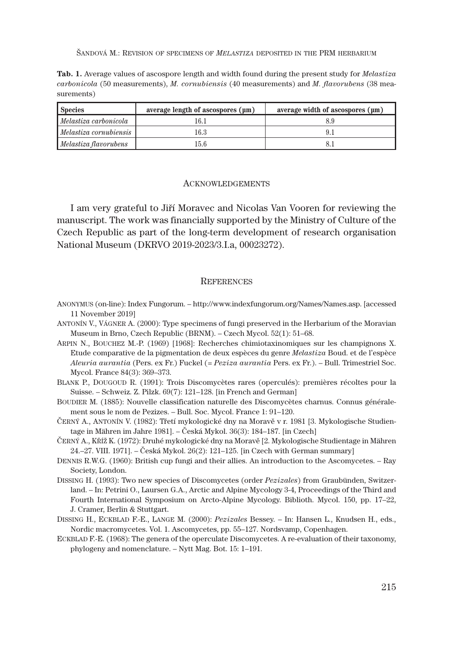ŠANDOVÁ M.: REVISION OF SPECIMENS OF *MELASTIZA* DEPOSITED IN THE PRM HERBARIUM

**Tab. 1.** Average values of ascospore length and width found during the present study for *Melastiza carbonicola* (50 measurements), *M. cornubiensis* (40 measurements) and *M. flavorubens* (38 measurements)

| <b>Species</b>         | average length of ascospores (µm) | average width of ascospores (µm) |
|------------------------|-----------------------------------|----------------------------------|
| Melastiza carbonicola  | 16.1                              |                                  |
| Melastiza cornubiensis | 16.3                              |                                  |
| Melastiza flavorubens  | 15.6                              |                                  |

### ACKNOWLEDGEMENTS

I am very grateful to Jiří Moravec and Nicolas Van Vooren for reviewing the manuscript. The work was financially supported by the Ministry of Culture of the Czech Republic as part of the long-term development of research organisation National Museum (DKRVO 2019-2023/3.I.a, 00023272).

#### **REFERENCES**

- ANONYMUS (on-line): Index Fungorum. http://www.indexfungorum.org/Names/Names.asp. [accessed 11 November 2019]
- ANTONÍN V., VÁGNER A. (2000): Type specimens of fungi preserved in the Herbarium of the Moravian Museum in Brno, Czech Republic (BRNM). – Czech Mycol. 52(1): 51–68.
- ARPIN N., BOUCHEZ M.-P. (1969) [1968]: Recherches chimiotaxinomiques sur les champignons X. Etude comparative de la pigmentation de deux espčces du genre *Melastiza* Boud. et de l'espčce *Aleuria aurantia* (Pers. ex Fr.) Fuckel (= *Peziza aurantia* Pers. ex Fr.). – Bull. Trimestriel Soc. Mycol. France 84(3): 369–373.
- BLANK P., DOUGOUD R. (1991): Trois Discomycčtes rares (operculés): premičres récoltes pour la Suisse. – Schweiz. Z. Pilzk. 69(7): 121–128. [in French and German]
- BOUDIER M. (1885): Nouvelle classification naturelle des Discomycčtes charnus. Connus généralement sous le nom de Pezizes. – Bull. Soc. Mycol. France 1: 91–120.
- ČERNÝ A., ANTONÍN V. (1982): Třetí mykologické dny na Moravě v r. 1981 [3. Mykologische Studientage in Mähren im Jahre 1981]. – Česká Mykol. 36(3): 184–187. [in Czech]
- ČERNÝ A., KŘÍŽ K. (1972): Druhé mykologické dny na Moravě [2. Mykologische Studientage in Mähren 24.–27. VIII. 1971]. – Česká Mykol. 26(2): 121–125. [in Czech with German summary]
- DENNIS R.W.G. (1960): British cup fungi and their allies. An introduction to the Ascomycetes. Ray Society, London.
- DISSING H. (1993): Two new species of Discomycetes (order *Pezizales*) from Graubünden, Switzerland. – In: Petrini O., Laursen G.A., Arctic and Alpine Mycology 3-4, Proceedings of the Third and Fourth International Symposium on Arcto-Alpine Mycology. Biblioth. Mycol. 150, pp. 17–22, J. Cramer, Berlin & Stuttgart.
- DISSING H., ECKBLAD F.-E., LANGE M. (2000): *Pezizales* Bessey. In: Hansen L., Knudsen H., eds., Nordic macromycetes. Vol. 1. Ascomycetes, pp. 55–127. Nordsvamp, Copenhagen.
- ECKBLAD F.-E. (1968): The genera of the operculate Discomycetes. A re-evaluation of their taxonomy, phylogeny and nomenclature. – Nytt Mag. Bot. 15: 1–191.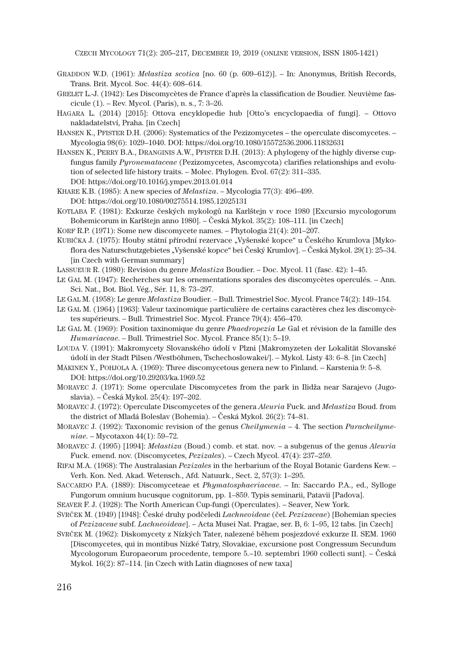CZECH MYCOLOGY 71(2): 205–217, DECEMBER 19, 2019 (ONLINE VERSION, ISSN 1805-1421)

- GRADDON W.D. (1961): *Melastiza scotica* [no. 60 (p. 609–612)]. In: Anonymus, British Records, Trans. Brit. Mycol. Soc. 44(4): 608–614.
- GRELET L.-J. (1942): Les Discomycètes de France d'après la classification de Boudier. Neuvième fascicule (1). – Rev. Mycol. (Paris), n. s., 7: 3–26.
- HAGARA L. (2014) [2015]: Ottova encyklopedie hub [Otto's encyclopaedia of fungi]. Ottovo nakladatelství, Praha. [in Czech]
- HANSEN K., PFISTER D.H. (2006): Systematics of the Pezizomycetes the operculate discomycetes. Mycologia 98(6): 1029–1040. DOI: https://doi.org/10.1080/15572536.2006.11832631
- HANSEN K., PERRY B.A., DRANGINIS A.W., PFISTER D.H. (2013): A phylogeny of the highly diverse cupfungus family *Pyronemataceae* (Pezizomycetes, Ascomycota) clarifies relationships and evolution of selected life history traits. – Molec. Phylogen. Evol. 67(2): 311–335. DOI: https://doi.org/10.1016/j.ympev.2013.01.014
- KHARE K.B. (1985): A new species of *Melastiza*. Mycologia 77(3): 496–499. DOI: https://doi.org/10.1080/00275514.1985.12025131
- KOTLABA F. (1981): Exkurze českých mykologů na Karlštejn v roce 1980 [Excursio mycologorum Bohemicorum in Karlštejn anno 1980]. – Česká Mykol. 35(2): 108–111. [in Czech]
- KORF R.P. (1971): Some new discomycete names. Phytologia 21(4): 201–207.
- KUBIČKA J. (1975): Houby státní přírodní rezervace "Vyšenské kopce" u Českého Krumlova [Mykoflora des Naturschutzgebietes "Vyšenské kopce" bei Český Krumlov]. – Česká Mykol. 29(1): 25–34. [in Czech with German summary]
- LASSUEUR R. (1980): Revision du genre *Melastiza* Boudier. Doc. Mycol. 11 (fasc. 42): 1–45.
- LE GAL M. (1947): Recherches sur les ornementations sporales des discomycčtes operculés. Ann. Sci. Nat., Bot. Biol. Vég., Sér. 11, 8: 73–297.
- LE GAL M. (1958): Le genre *Melastiza* Boudier. Bull. Trimestriel Soc. Mycol. France 74(2): 149–154.
- LE GAL M. (1964) [1963]: Valeur taxinomique particulière de certains caractères chez les discomycètes supérieurs. – Bull. Trimestriel Soc. Mycol. France 79(4): 456–470.
- LE GAL M. (1969): Position taxinomique du genre *Phaedropezia* Le Gal et révision de la famille des *Humariaceae*. – Bull. Trimestriel Soc. Mycol. France 85(1): 5–19.
- LOUDA V. (1991): Makromycety Slovanského údolí v Plzni [Makromyzeten der Lokalität Slovanské údolí in der Stadt Pilsen /Westböhmen, Tschechoslowakei/]. – Mykol. Listy 43: 6–8. [in Czech]
- MÄKINEN Y., POHJOLA A. (1969): Three discomycetous genera new to Finland. Karstenia 9: 5–8. DOI: https://doi.org/10.29203/ka.1969.52
- MORAVEC J. (1971): Some operculate Discomycetes from the park in Ilidža near Sarajevo (Jugoslavia). – Česká Mykol. 25(4): 197–202.
- MORAVEC J. (1972): Operculate Discomycetes of the genera *Aleuria* Fuck. and *Melastiza* Boud. from the district of Mladá Boleslav (Bohemia). – Česká Mykol. 26(2): 74–81.
- MORAVEC J. (1992): Taxonomic revision of the genus *Cheilymenia* 4. The section *Paracheilymeniae*. – Mycotaxon 44(1): 59–72.
- MORAVEC J. (1995) [1994]: *Melastiza* (Boud.) comb. et stat. nov. a subgenus of the genus *Aleuria* Fuck. emend. nov. (Discomycetes, *Pezizales*). – Czech Mycol. 47(4): 237–259.
- RIFAI M.A. (1968): The Australasian *Pezizales* in the herbarium of the Royal Botanic Gardens Kew. Verh. Kon. Ned. Akad. Wetensch., Afd. Natuurk., Sect. 2, 57(3): 1–295.
- SACCARDO P.A. (1889): Discomyceteae et *Phymatosphaeriaceae*. In: Saccardo P.A., ed., Sylloge Fungorum omnium hucusque cognitorum, pp. 1–859. Typis seminarii, Patavii [Padova].
- SEAVER F. J. (1928): The North American Cup-fungi (Operculates). Seaver, New York.
- SVRČEK M. (1949) [1948]: České druhy podčeledi *Lachneoideae* (čel. *Pezizaceae*) [Bohemian species of *Pezizaceae* subf. *Lachneoideae*]. – Acta Musei Nat. Pragae, ser. B, 6: 1–95, 12 tabs. [in Czech]
- SVRČEK M. (1962): Diskomycety z Nízkých Tater, nalezené během posjezdové exkurze II. SEM. 1960 [Discomycetes, qui in montibus Nízké Tatry, Slovakiae, excursione post Congressum Secundum Mycologorum Europaeorum procedente, tempore 5.–10. septembri 1960 collecti sunt]. – Česká Mykol. 16(2): 87–114. [in Czech with Latin diagnoses of new taxa]